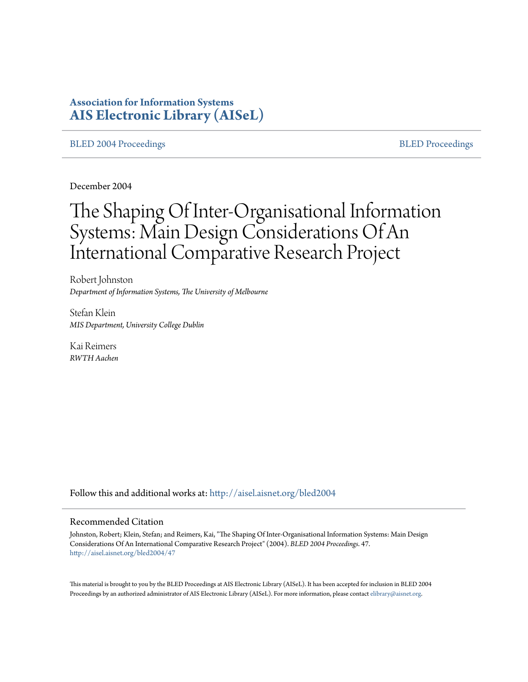# **Association for Information Systems [AIS Electronic Library \(AISeL\)](http://aisel.aisnet.org?utm_source=aisel.aisnet.org%2Fbled2004%2F47&utm_medium=PDF&utm_campaign=PDFCoverPages)**

#### [BLED 2004 Proceedings](http://aisel.aisnet.org/bled2004?utm_source=aisel.aisnet.org%2Fbled2004%2F47&utm_medium=PDF&utm_campaign=PDFCoverPages) and the state of the state of the [BLED Proceedings](http://aisel.aisnet.org/bled?utm_source=aisel.aisnet.org%2Fbled2004%2F47&utm_medium=PDF&utm_campaign=PDFCoverPages) and the BLED Proceedings and the BLED Proceedings and the BLED Proceedings and the BLED Proceedings and the BLED Proceedings and the BLED Proceedings

December 2004

# The Shaping Of Inter-Organisational Information Systems: Main Design Considerations Of An International Comparative Research Project

Robert Johnston *Department of Information Systems, The University of Melbourne*

Stefan Klein *MIS Department, University College Dublin*

Kai Reimers *RWTH Aachen*

Follow this and additional works at: [http://aisel.aisnet.org/bled2004](http://aisel.aisnet.org/bled2004?utm_source=aisel.aisnet.org%2Fbled2004%2F47&utm_medium=PDF&utm_campaign=PDFCoverPages)

#### Recommended Citation

Johnston, Robert; Klein, Stefan; and Reimers, Kai, "The Shaping Of Inter-Organisational Information Systems: Main Design Considerations Of An International Comparative Research Project" (2004). *BLED 2004 Proceedings*. 47. [http://aisel.aisnet.org/bled2004/47](http://aisel.aisnet.org/bled2004/47?utm_source=aisel.aisnet.org%2Fbled2004%2F47&utm_medium=PDF&utm_campaign=PDFCoverPages)

This material is brought to you by the BLED Proceedings at AIS Electronic Library (AISeL). It has been accepted for inclusion in BLED 2004 Proceedings by an authorized administrator of AIS Electronic Library (AISeL). For more information, please contact [elibrary@aisnet.org](mailto:elibrary@aisnet.org%3E).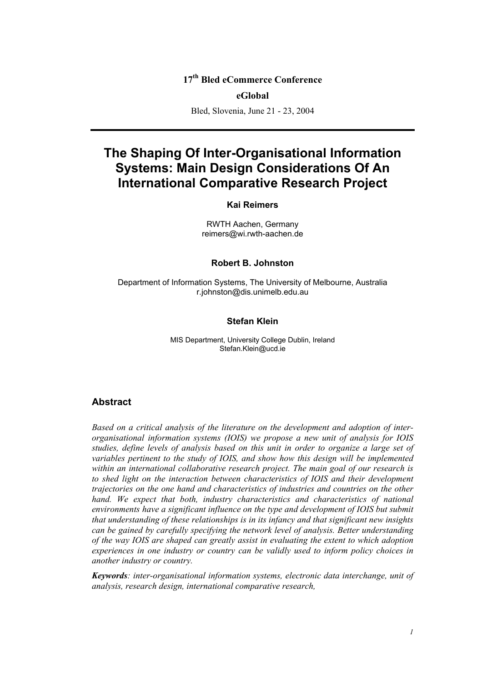# **17th Bled eCommerce Conference**

#### **eGlobal**

Bled, Slovenia, June 21 - 23, 2004

# **The Shaping Of Inter-Organisational Information Systems: Main Design Considerations Of An International Comparative Research Project**

#### **Kai Reimers**

RWTH Aachen, Germany reimers@wi.rwth-aachen.de

#### **Robert B. Johnston**

Department of Information Systems, The University of Melbourne, Australia r.johnston@dis.unimelb.edu.au

#### **Stefan Klein**

MIS Department, University College Dublin, Ireland Stefan.Klein@ucd.ie

#### **Abstract**

*Based on a critical analysis of the literature on the development and adoption of interorganisational information systems (IOIS) we propose a new unit of analysis for IOIS studies, define levels of analysis based on this unit in order to organize a large set of variables pertinent to the study of IOIS, and show how this design will be implemented within an international collaborative research project. The main goal of our research is to shed light on the interaction between characteristics of IOIS and their development trajectories on the one hand and characteristics of industries and countries on the other hand. We expect that both, industry characteristics and characteristics of national environments have a significant influence on the type and development of IOIS but submit that understanding of these relationships is in its infancy and that significant new insights can be gained by carefully specifying the network level of analysis. Better understanding of the way IOIS are shaped can greatly assist in evaluating the extent to which adoption experiences in one industry or country can be validly used to inform policy choices in another industry or country.* 

*Keywords: inter-organisational information systems, electronic data interchange, unit of analysis, research design, international comparative research,*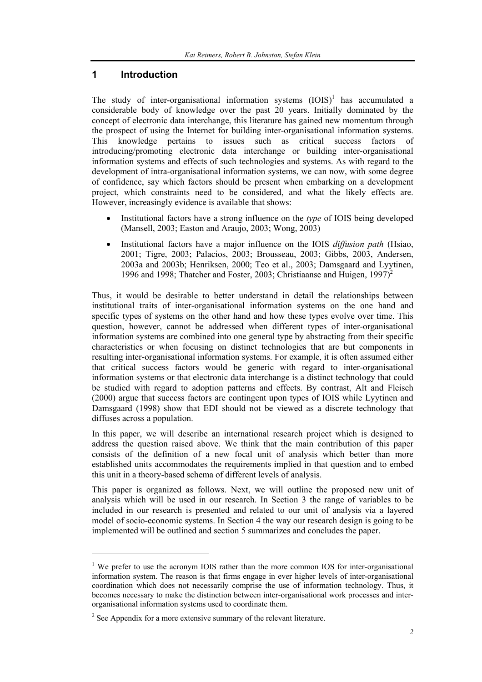## **1 Introduction**

The study of inter-organisational information systems  $(IOIS)^1$  has accumulated a considerable body of knowledge over the past 20 years. Initially dominated by the concept of electronic data interchange, this literature has gained new momentum through the prospect of using the Internet for building inter-organisational information systems. This knowledge pertains to issues such as critical success factors of introducing/promoting electronic data interchange or building inter-organisational information systems and effects of such technologies and systems. As with regard to the development of intra-organisational information systems, we can now, with some degree of confidence, say which factors should be present when embarking on a development project, which constraints need to be considered, and what the likely effects are. However, increasingly evidence is available that shows:

- Institutional factors have a strong influence on the *type* of IOIS being developed (Mansell, 2003; Easton and Araujo, 2003; Wong, 2003)
- Institutional factors have a major influence on the IOIS *diffusion path* (Hsiao, 2001; Tigre, 2003; Palacios, 2003; Brousseau, 2003; Gibbs, 2003, Andersen, 2003a and 2003b; Henriksen, 2000; Teo et al., 2003; Damsgaard and Lyytinen, 1996 and 1998; Thatcher and Foster, 2003; Christiaanse and Huigen,  $1997)^2$

Thus, it would be desirable to better understand in detail the relationships between institutional traits of inter-organisational information systems on the one hand and specific types of systems on the other hand and how these types evolve over time. This question, however, cannot be addressed when different types of inter-organisational information systems are combined into one general type by abstracting from their specific characteristics or when focusing on distinct technologies that are but components in resulting inter-organisational information systems. For example, it is often assumed either that critical success factors would be generic with regard to inter-organisational information systems or that electronic data interchange is a distinct technology that could be studied with regard to adoption patterns and effects. By contrast, Alt and Fleisch (2000) argue that success factors are contingent upon types of IOIS while Lyytinen and Damsgaard (1998) show that EDI should not be viewed as a discrete technology that diffuses across a population.

In this paper, we will describe an international research project which is designed to address the question raised above. We think that the main contribution of this paper consists of the definition of a new focal unit of analysis which better than more established units accommodates the requirements implied in that question and to embed this unit in a theory-based schema of different levels of analysis.

This paper is organized as follows. Next, we will outline the proposed new unit of analysis which will be used in our research. In Section 3 the range of variables to be included in our research is presented and related to our unit of analysis via a layered model of socio-economic systems. In Section 4 the way our research design is going to be implemented will be outlined and section 5 summarizes and concludes the paper.

 $\overline{a}$ 

<sup>&</sup>lt;sup>1</sup> We prefer to use the acronym IOIS rather than the more common IOS for inter-organisational information system. The reason is that firms engage in ever higher levels of inter-organisational coordination which does not necessarily comprise the use of information technology. Thus, it becomes necessary to make the distinction between inter-organisational work processes and interorganisational information systems used to coordinate them.

 $2^2$  See Appendix for a more extensive summary of the relevant literature.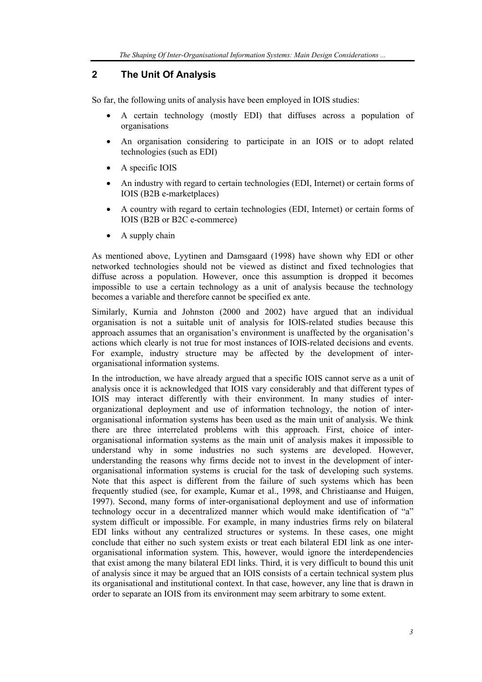# **2 The Unit Of Analysis**

So far, the following units of analysis have been employed in IOIS studies:

- A certain technology (mostly EDI) that diffuses across a population of organisations
- An organisation considering to participate in an IOIS or to adopt related technologies (such as EDI)
- A specific IOIS
- An industry with regard to certain technologies (EDI, Internet) or certain forms of IOIS (B2B e-marketplaces)
- A country with regard to certain technologies (EDI, Internet) or certain forms of IOIS (B2B or B2C e-commerce)
- A supply chain

As mentioned above, Lyytinen and Damsgaard (1998) have shown why EDI or other networked technologies should not be viewed as distinct and fixed technologies that diffuse across a population. However, once this assumption is dropped it becomes impossible to use a certain technology as a unit of analysis because the technology becomes a variable and therefore cannot be specified ex ante.

Similarly, Kurnia and Johnston (2000 and 2002) have argued that an individual organisation is not a suitable unit of analysis for IOIS-related studies because this approach assumes that an organisation's environment is unaffected by the organisation's actions which clearly is not true for most instances of IOIS-related decisions and events. For example, industry structure may be affected by the development of interorganisational information systems.

In the introduction, we have already argued that a specific IOIS cannot serve as a unit of analysis once it is acknowledged that IOIS vary considerably and that different types of IOIS may interact differently with their environment. In many studies of interorganizational deployment and use of information technology, the notion of interorganisational information systems has been used as the main unit of analysis. We think there are three interrelated problems with this approach. First, choice of interorganisational information systems as the main unit of analysis makes it impossible to understand why in some industries no such systems are developed. However, understanding the reasons why firms decide not to invest in the development of interorganisational information systems is crucial for the task of developing such systems. Note that this aspect is different from the failure of such systems which has been frequently studied (see, for example, Kumar et al., 1998, and Christiaanse and Huigen, 1997). Second, many forms of inter-organisational deployment and use of information technology occur in a decentralized manner which would make identification of "a" system difficult or impossible. For example, in many industries firms rely on bilateral EDI links without any centralized structures or systems. In these cases, one might conclude that either no such system exists or treat each bilateral EDI link as one interorganisational information system. This, however, would ignore the interdependencies that exist among the many bilateral EDI links. Third, it is very difficult to bound this unit of analysis since it may be argued that an IOIS consists of a certain technical system plus its organisational and institutional context. In that case, however, any line that is drawn in order to separate an IOIS from its environment may seem arbitrary to some extent.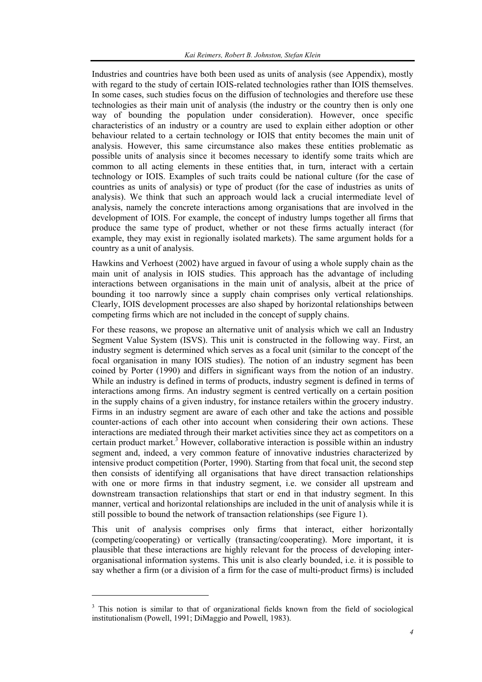Industries and countries have both been used as units of analysis (see Appendix), mostly with regard to the study of certain IOIS-related technologies rather than IOIS themselves. In some cases, such studies focus on the diffusion of technologies and therefore use these technologies as their main unit of analysis (the industry or the country then is only one way of bounding the population under consideration). However, once specific characteristics of an industry or a country are used to explain either adoption or other behaviour related to a certain technology or IOIS that entity becomes the main unit of analysis. However, this same circumstance also makes these entities problematic as possible units of analysis since it becomes necessary to identify some traits which are common to all acting elements in these entities that, in turn, interact with a certain technology or IOIS. Examples of such traits could be national culture (for the case of countries as units of analysis) or type of product (for the case of industries as units of analysis). We think that such an approach would lack a crucial intermediate level of analysis, namely the concrete interactions among organisations that are involved in the development of IOIS. For example, the concept of industry lumps together all firms that produce the same type of product, whether or not these firms actually interact (for example, they may exist in regionally isolated markets). The same argument holds for a country as a unit of analysis.

Hawkins and Verhoest (2002) have argued in favour of using a whole supply chain as the main unit of analysis in IOIS studies. This approach has the advantage of including interactions between organisations in the main unit of analysis, albeit at the price of bounding it too narrowly since a supply chain comprises only vertical relationships. Clearly, IOIS development processes are also shaped by horizontal relationships between competing firms which are not included in the concept of supply chains.

For these reasons, we propose an alternative unit of analysis which we call an Industry Segment Value System (ISVS). This unit is constructed in the following way. First, an industry segment is determined which serves as a focal unit (similar to the concept of the focal organisation in many IOIS studies). The notion of an industry segment has been coined by Porter (1990) and differs in significant ways from the notion of an industry. While an industry is defined in terms of products, industry segment is defined in terms of interactions among firms. An industry segment is centred vertically on a certain position in the supply chains of a given industry, for instance retailers within the grocery industry. Firms in an industry segment are aware of each other and take the actions and possible counter-actions of each other into account when considering their own actions. These interactions are mediated through their market activities since they act as competitors on a certain product market.<sup>3</sup> However, collaborative interaction is possible within an industry segment and, indeed, a very common feature of innovative industries characterized by intensive product competition (Porter, 1990). Starting from that focal unit, the second step then consists of identifying all organisations that have direct transaction relationships with one or more firms in that industry segment, i.e. we consider all upstream and downstream transaction relationships that start or end in that industry segment. In this manner, vertical and horizontal relationships are included in the unit of analysis while it is still possible to bound the network of transaction relationships (see Figure 1).

This unit of analysis comprises only firms that interact, either horizontally (competing/cooperating) or vertically (transacting/cooperating). More important, it is plausible that these interactions are highly relevant for the process of developing interorganisational information systems. This unit is also clearly bounded, i.e. it is possible to say whether a firm (or a division of a firm for the case of multi-product firms) is included

l

<sup>&</sup>lt;sup>3</sup> This notion is similar to that of organizational fields known from the field of sociological institutionalism (Powell, 1991; DiMaggio and Powell, 1983).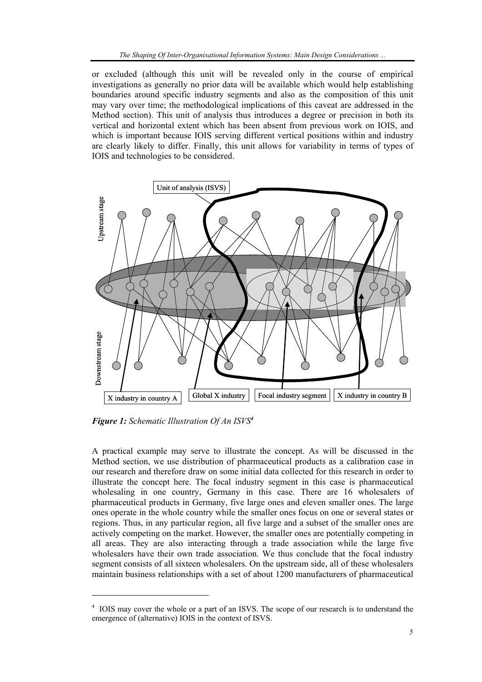or excluded (although this unit will be revealed only in the course of empirical investigations as generally no prior data will be available which would help establishing boundaries around specific industry segments and also as the composition of this unit may vary over time; the methodological implications of this caveat are addressed in the Method section). This unit of analysis thus introduces a degree or precision in both its vertical and horizontal extent which has been absent from previous work on IOIS, and which is important because IOIS serving different vertical positions within and industry are clearly likely to differ. Finally, this unit allows for variability in terms of types of IOIS and technologies to be considered.



*Figure 1: Schematic Illustration Of An ISVS<sup>4</sup>*

l

A practical example may serve to illustrate the concept. As will be discussed in the Method section, we use distribution of pharmaceutical products as a calibration case in our research and therefore draw on some initial data collected for this research in order to illustrate the concept here. The focal industry segment in this case is pharmaceutical wholesaling in one country, Germany in this case. There are 16 wholesalers of pharmaceutical products in Germany, five large ones and eleven smaller ones. The large ones operate in the whole country while the smaller ones focus on one or several states or regions. Thus, in any particular region, all five large and a subset of the smaller ones are actively competing on the market. However, the smaller ones are potentially competing in all areas. They are also interacting through a trade association while the large five wholesalers have their own trade association. We thus conclude that the focal industry segment consists of all sixteen wholesalers. On the upstream side, all of these wholesalers maintain business relationships with a set of about 1200 manufacturers of pharmaceutical

<sup>4</sup> IOIS may cover the whole or a part of an ISVS. The scope of our research is to understand the emergence of (alternative) IOIS in the context of ISVS.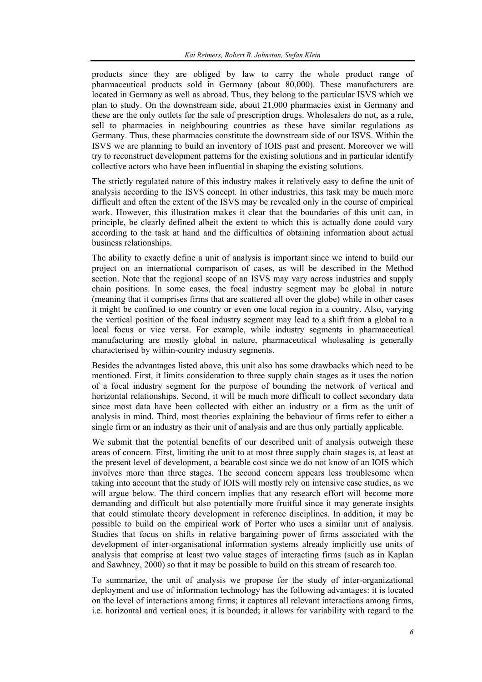products since they are obliged by law to carry the whole product range of pharmaceutical products sold in Germany (about 80,000). These manufacturers are located in Germany as well as abroad. Thus, they belong to the particular ISVS which we plan to study. On the downstream side, about 21,000 pharmacies exist in Germany and these are the only outlets for the sale of prescription drugs. Wholesalers do not, as a rule, sell to pharmacies in neighbouring countries as these have similar regulations as Germany. Thus, these pharmacies constitute the downstream side of our ISVS. Within the ISVS we are planning to build an inventory of IOIS past and present. Moreover we will try to reconstruct development patterns for the existing solutions and in particular identify collective actors who have been influential in shaping the existing solutions.

The strictly regulated nature of this industry makes it relatively easy to define the unit of analysis according to the ISVS concept. In other industries, this task may be much more difficult and often the extent of the ISVS may be revealed only in the course of empirical work. However, this illustration makes it clear that the boundaries of this unit can, in principle, be clearly defined albeit the extent to which this is actually done could vary according to the task at hand and the difficulties of obtaining information about actual business relationships.

The ability to exactly define a unit of analysis is important since we intend to build our project on an international comparison of cases, as will be described in the Method section. Note that the regional scope of an ISVS may vary across industries and supply chain positions. In some cases, the focal industry segment may be global in nature (meaning that it comprises firms that are scattered all over the globe) while in other cases it might be confined to one country or even one local region in a country. Also, varying the vertical position of the focal industry segment may lead to a shift from a global to a local focus or vice versa. For example, while industry segments in pharmaceutical manufacturing are mostly global in nature, pharmaceutical wholesaling is generally characterised by within-country industry segments.

Besides the advantages listed above, this unit also has some drawbacks which need to be mentioned. First, it limits consideration to three supply chain stages as it uses the notion of a focal industry segment for the purpose of bounding the network of vertical and horizontal relationships. Second, it will be much more difficult to collect secondary data since most data have been collected with either an industry or a firm as the unit of analysis in mind. Third, most theories explaining the behaviour of firms refer to either a single firm or an industry as their unit of analysis and are thus only partially applicable.

We submit that the potential benefits of our described unit of analysis outweigh these areas of concern. First, limiting the unit to at most three supply chain stages is, at least at the present level of development, a bearable cost since we do not know of an IOIS which involves more than three stages. The second concern appears less troublesome when taking into account that the study of IOIS will mostly rely on intensive case studies, as we will argue below. The third concern implies that any research effort will become more demanding and difficult but also potentially more fruitful since it may generate insights that could stimulate theory development in reference disciplines. In addition, it may be possible to build on the empirical work of Porter who uses a similar unit of analysis. Studies that focus on shifts in relative bargaining power of firms associated with the development of inter-organisational information systems already implicitly use units of analysis that comprise at least two value stages of interacting firms (such as in Kaplan and Sawhney, 2000) so that it may be possible to build on this stream of research too.

To summarize, the unit of analysis we propose for the study of inter-organizational deployment and use of information technology has the following advantages: it is located on the level of interactions among firms; it captures all relevant interactions among firms, i.e. horizontal and vertical ones; it is bounded; it allows for variability with regard to the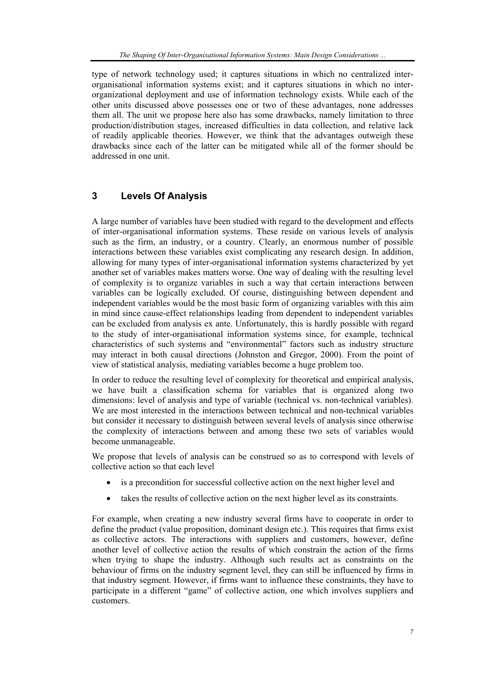type of network technology used; it captures situations in which no centralized interorganisational information systems exist; and it captures situations in which no interorganizational deployment and use of information technology exists. While each of the other units discussed above possesses one or two of these advantages, none addresses them all. The unit we propose here also has some drawbacks, namely limitation to three production/distribution stages, increased difficulties in data collection, and relative lack of readily applicable theories. However, we think that the advantages outweigh these drawbacks since each of the latter can be mitigated while all of the former should be addressed in one unit.

# **3 Levels Of Analysis**

A large number of variables have been studied with regard to the development and effects of inter-organisational information systems. These reside on various levels of analysis such as the firm, an industry, or a country. Clearly, an enormous number of possible interactions between these variables exist complicating any research design. In addition, allowing for many types of inter-organisational information systems characterized by yet another set of variables makes matters worse. One way of dealing with the resulting level of complexity is to organize variables in such a way that certain interactions between variables can be logically excluded. Of course, distinguishing between dependent and independent variables would be the most basic form of organizing variables with this aim in mind since cause-effect relationships leading from dependent to independent variables can be excluded from analysis ex ante. Unfortunately, this is hardly possible with regard to the study of inter-organisational information systems since, for example, technical characteristics of such systems and "environmental" factors such as industry structure may interact in both causal directions (Johnston and Gregor, 2000). From the point of view of statistical analysis, mediating variables become a huge problem too.

In order to reduce the resulting level of complexity for theoretical and empirical analysis, we have built a classification schema for variables that is organized along two dimensions: level of analysis and type of variable (technical vs. non-technical variables). We are most interested in the interactions between technical and non-technical variables but consider it necessary to distinguish between several levels of analysis since otherwise the complexity of interactions between and among these two sets of variables would become unmanageable.

We propose that levels of analysis can be construed so as to correspond with levels of collective action so that each level

- is a precondition for successful collective action on the next higher level and
- takes the results of collective action on the next higher level as its constraints.

For example, when creating a new industry several firms have to cooperate in order to define the product (value proposition, dominant design etc.). This requires that firms exist as collective actors. The interactions with suppliers and customers, however, define another level of collective action the results of which constrain the action of the firms when trying to shape the industry. Although such results act as constraints on the behaviour of firms on the industry segment level, they can still be influenced by firms in that industry segment. However, if firms want to influence these constraints, they have to participate in a different "game" of collective action, one which involves suppliers and customers.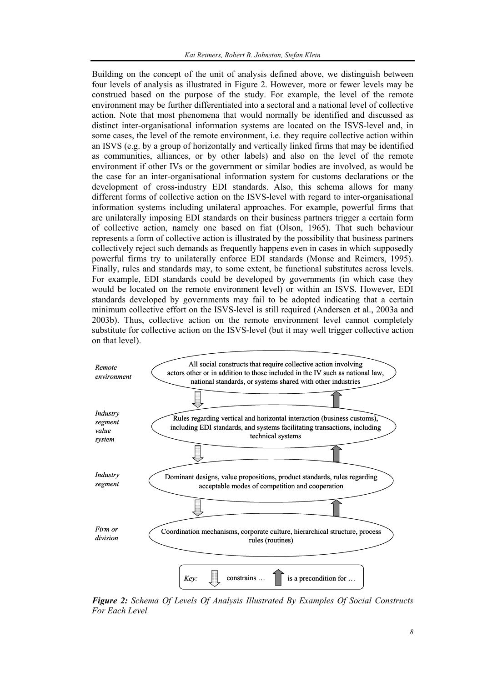Building on the concept of the unit of analysis defined above, we distinguish between four levels of analysis as illustrated in Figure 2. However, more or fewer levels may be construed based on the purpose of the study. For example, the level of the remote environment may be further differentiated into a sectoral and a national level of collective action. Note that most phenomena that would normally be identified and discussed as distinct inter-organisational information systems are located on the ISVS-level and, in some cases, the level of the remote environment, i.e. they require collective action within an ISVS (e.g. by a group of horizontally and vertically linked firms that may be identified as communities, alliances, or by other labels) and also on the level of the remote environment if other IVs or the government or similar bodies are involved, as would be the case for an inter-organisational information system for customs declarations or the development of cross-industry EDI standards. Also, this schema allows for many different forms of collective action on the ISVS-level with regard to inter-organisational information systems including unilateral approaches. For example, powerful firms that are unilaterally imposing EDI standards on their business partners trigger a certain form of collective action, namely one based on fiat (Olson, 1965). That such behaviour represents a form of collective action is illustrated by the possibility that business partners collectively reject such demands as frequently happens even in cases in which supposedly powerful firms try to unilaterally enforce EDI standards (Monse and Reimers, 1995). Finally, rules and standards may, to some extent, be functional substitutes across levels. For example, EDI standards could be developed by governments (in which case they would be located on the remote environment level) or within an ISVS. However, EDI standards developed by governments may fail to be adopted indicating that a certain minimum collective effort on the ISVS-level is still required (Andersen et al., 2003a and 2003b). Thus, collective action on the remote environment level cannot completely substitute for collective action on the ISVS-level (but it may well trigger collective action on that level).



*Figure 2: Schema Of Levels Of Analysis Illustrated By Examples Of Social Constructs For Each Level*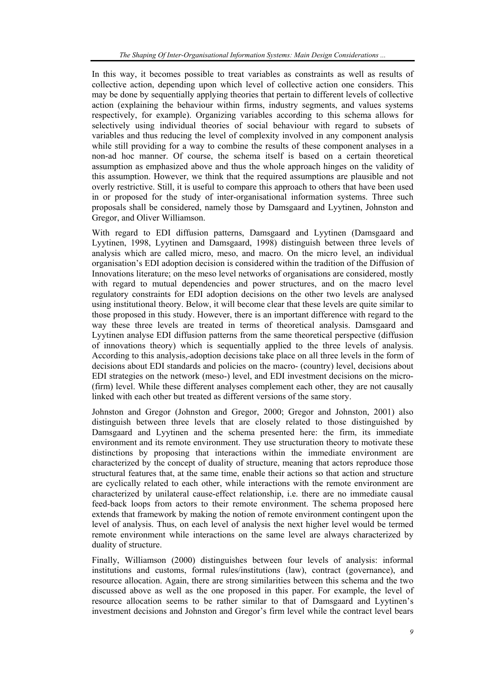In this way, it becomes possible to treat variables as constraints as well as results of collective action, depending upon which level of collective action one considers. This may be done by sequentially applying theories that pertain to different levels of collective action (explaining the behaviour within firms, industry segments, and values systems respectively, for example). Organizing variables according to this schema allows for selectively using individual theories of social behaviour with regard to subsets of variables and thus reducing the level of complexity involved in any component analysis while still providing for a way to combine the results of these component analyses in a non-ad hoc manner. Of course, the schema itself is based on a certain theoretical assumption as emphasized above and thus the whole approach hinges on the validity of this assumption. However, we think that the required assumptions are plausible and not overly restrictive. Still, it is useful to compare this approach to others that have been used in or proposed for the study of inter-organisational information systems. Three such proposals shall be considered, namely those by Damsgaard and Lyytinen, Johnston and Gregor, and Oliver Williamson.

With regard to EDI diffusion patterns, Damsgaard and Lyytinen (Damsgaard and Lyytinen, 1998, Lyytinen and Damsgaard, 1998) distinguish between three levels of analysis which are called micro, meso, and macro. On the micro level, an individual organisation's EDI adoption decision is considered within the tradition of the Diffusion of Innovations literature; on the meso level networks of organisations are considered, mostly with regard to mutual dependencies and power structures, and on the macro level regulatory constraints for EDI adoption decisions on the other two levels are analysed using institutional theory. Below, it will become clear that these levels are quite similar to those proposed in this study. However, there is an important difference with regard to the way these three levels are treated in terms of theoretical analysis. Damsgaard and Lyytinen analyse EDI diffusion patterns from the same theoretical perspective (diffusion of innovations theory) which is sequentially applied to the three levels of analysis. According to this analysis, adoption decisions take place on all three levels in the form of decisions about EDI standards and policies on the macro- (country) level, decisions about EDI strategies on the network (meso-) level, and EDI investment decisions on the micro- (firm) level. While these different analyses complement each other, they are not causally linked with each other but treated as different versions of the same story.

Johnston and Gregor (Johnston and Gregor, 2000; Gregor and Johnston, 2001) also distinguish between three levels that are closely related to those distinguished by Damsgaard and Lyytinen and the schema presented here: the firm, its immediate environment and its remote environment. They use structuration theory to motivate these distinctions by proposing that interactions within the immediate environment are characterized by the concept of duality of structure, meaning that actors reproduce those structural features that, at the same time, enable their actions so that action and structure are cyclically related to each other, while interactions with the remote environment are characterized by unilateral cause-effect relationship, i.e. there are no immediate causal feed-back loops from actors to their remote environment. The schema proposed here extends that framework by making the notion of remote environment contingent upon the level of analysis. Thus, on each level of analysis the next higher level would be termed remote environment while interactions on the same level are always characterized by duality of structure.

Finally, Williamson (2000) distinguishes between four levels of analysis: informal institutions and customs, formal rules/institutions (law), contract (governance), and resource allocation. Again, there are strong similarities between this schema and the two discussed above as well as the one proposed in this paper. For example, the level of resource allocation seems to be rather similar to that of Damsgaard and Lyytinen's investment decisions and Johnston and Gregor's firm level while the contract level bears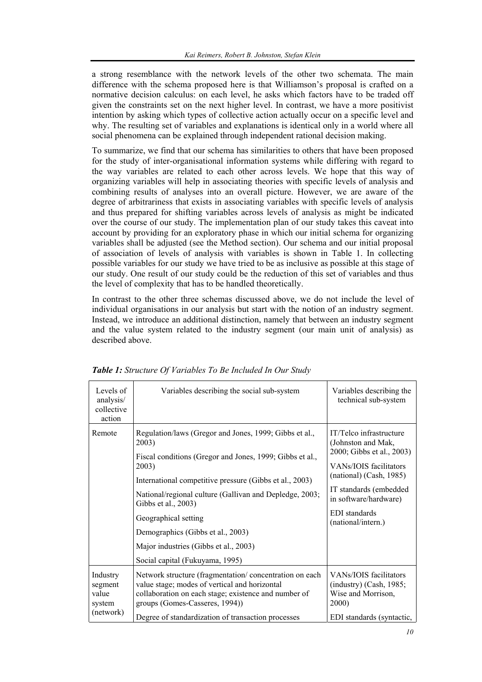a strong resemblance with the network levels of the other two schemata. The main difference with the schema proposed here is that Williamson's proposal is crafted on a normative decision calculus: on each level, he asks which factors have to be traded off given the constraints set on the next higher level. In contrast, we have a more positivist intention by asking which types of collective action actually occur on a specific level and why. The resulting set of variables and explanations is identical only in a world where all social phenomena can be explained through independent rational decision making.

To summarize, we find that our schema has similarities to others that have been proposed for the study of inter-organisational information systems while differing with regard to the way variables are related to each other across levels. We hope that this way of organizing variables will help in associating theories with specific levels of analysis and combining results of analyses into an overall picture. However, we are aware of the degree of arbitrariness that exists in associating variables with specific levels of analysis and thus prepared for shifting variables across levels of analysis as might be indicated over the course of our study. The implementation plan of our study takes this caveat into account by providing for an exploratory phase in which our initial schema for organizing variables shall be adjusted (see the Method section). Our schema and our initial proposal of association of levels of analysis with variables is shown in Table 1. In collecting possible variables for our study we have tried to be as inclusive as possible at this stage of our study. One result of our study could be the reduction of this set of variables and thus the level of complexity that has to be handled theoretically.

In contrast to the other three schemas discussed above, we do not include the level of individual organisations in our analysis but start with the notion of an industry segment. Instead, we introduce an additional distinction, namely that between an industry segment and the value system related to the industry segment (our main unit of analysis) as described above.

| Levels of<br>analysis/<br>collective<br>action      | Variables describing the social sub-system                                                                                                                                                                                                                                                                                                                                                                                 | Variables describing the<br>technical sub-system                                                                                                                                                                                 |
|-----------------------------------------------------|----------------------------------------------------------------------------------------------------------------------------------------------------------------------------------------------------------------------------------------------------------------------------------------------------------------------------------------------------------------------------------------------------------------------------|----------------------------------------------------------------------------------------------------------------------------------------------------------------------------------------------------------------------------------|
| Remote                                              | Regulation/laws (Gregor and Jones, 1999; Gibbs et al.,<br>2003)<br>Fiscal conditions (Gregor and Jones, 1999; Gibbs et al.,<br>2003)<br>International competitive pressure (Gibbs et al., 2003)<br>National/regional culture (Gallivan and Depledge, 2003;<br>Gibbs et al., 2003)<br>Geographical setting<br>Demographics (Gibbs et al., 2003)<br>Major industries (Gibbs et al., 2003)<br>Social capital (Fukuyama, 1995) | IT/Telco infrastructure<br>(Johnston and Mak,<br>2000; Gibbs et al., 2003)<br>VANs/IOIS facilitators<br>(national) (Cash, 1985)<br>IT standards (embedded<br>in software/hardware)<br><b>EDI</b> standards<br>(national/intern.) |
| Industry<br>segment<br>value<br>system<br>(network) | Network structure (fragmentation/concentration on each<br>value stage; modes of vertical and horizontal<br>collaboration on each stage; existence and number of<br>groups (Gomes-Casseres, 1994))<br>Degree of standardization of transaction processes                                                                                                                                                                    | VANs/IOIS facilitators<br>$(industry)$ (Cash, 1985;<br>Wise and Morrison,<br>2000)<br>EDI standards (syntactic,                                                                                                                  |

*Table 1: Structure Of Variables To Be Included In Our Study*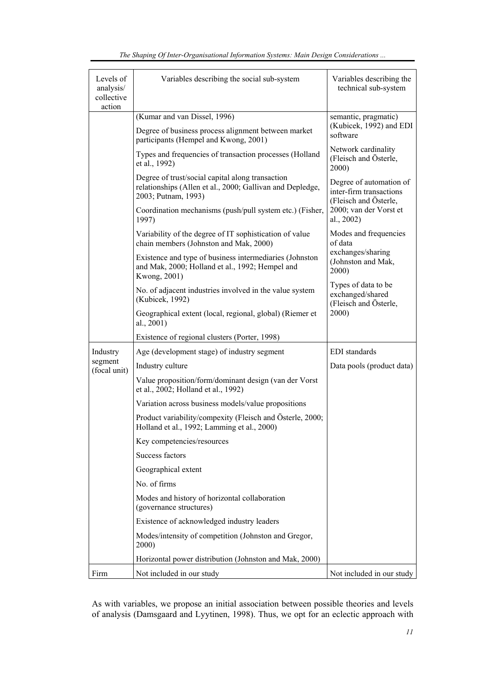| Levels of<br>analysis/<br>collective | Variables describing the social sub-system                                                                                           | Variables describing the<br>technical sub-system                            |  |
|--------------------------------------|--------------------------------------------------------------------------------------------------------------------------------------|-----------------------------------------------------------------------------|--|
| action                               | (Kumar and van Dissel, 1996)                                                                                                         |                                                                             |  |
|                                      | Degree of business process alignment between market<br>participants (Hempel and Kwong, 2001)                                         | semantic, pragmatic)<br>(Kubicek, 1992) and EDI<br>software                 |  |
|                                      | Types and frequencies of transaction processes (Holland<br>et al., 1992)                                                             | Network cardinality<br>(Fleisch and Österle,<br>2000)                       |  |
|                                      | Degree of trust/social capital along transaction<br>relationships (Allen et al., 2000; Gallivan and Depledge,<br>2003; Putnam, 1993) | Degree of automation of<br>inter-firm transactions<br>(Fleisch and Österle, |  |
|                                      | Coordination mechanisms (push/pull system etc.) (Fisher,<br>1997)                                                                    | 2000; van der Vorst et<br>al., 2002)                                        |  |
|                                      | Variability of the degree of IT sophistication of value<br>chain members (Johnston and Mak, 2000)                                    | Modes and frequencies<br>of data                                            |  |
|                                      | Existence and type of business intermediaries (Johnston<br>and Mak, 2000; Holland et al., 1992; Hempel and<br>Kwong, 2001)           | exchanges/sharing<br>(Johnston and Mak,<br>2000)                            |  |
|                                      | No. of adjacent industries involved in the value system<br>(Kubicek, 1992)                                                           | Types of data to be<br>exchanged/shared<br>(Fleisch and Österle,            |  |
|                                      | Geographical extent (local, regional, global) (Riemer et<br>al., 2001)                                                               | 2000)                                                                       |  |
|                                      | Existence of regional clusters (Porter, 1998)                                                                                        |                                                                             |  |
| Industry                             | Age (development stage) of industry segment                                                                                          | EDI standards                                                               |  |
| segment<br>(focal unit)              | Industry culture                                                                                                                     | Data pools (product data)                                                   |  |
|                                      | Value proposition/form/dominant design (van der Vorst<br>et al., 2002; Holland et al., 1992)                                         |                                                                             |  |
|                                      | Variation across business models/value propositions                                                                                  |                                                                             |  |
|                                      | Product variability/compexity (Fleisch and Österle, 2000;<br>Holland et al., 1992; Lamming et al., 2000)                             |                                                                             |  |
|                                      | Key competencies/resources                                                                                                           |                                                                             |  |
|                                      | Success factors                                                                                                                      |                                                                             |  |
|                                      | Geographical extent                                                                                                                  |                                                                             |  |
|                                      | No. of firms                                                                                                                         |                                                                             |  |
|                                      | Modes and history of horizontal collaboration<br>(governance structures)                                                             |                                                                             |  |
|                                      | Existence of acknowledged industry leaders                                                                                           |                                                                             |  |
|                                      | Modes/intensity of competition (Johnston and Gregor,<br>2000)                                                                        |                                                                             |  |
|                                      | Horizontal power distribution (Johnston and Mak, 2000)                                                                               |                                                                             |  |
| Firm                                 | Not included in our study                                                                                                            | Not included in our study                                                   |  |

As with variables, we propose an initial association between possible theories and levels of analysis (Damsgaard and Lyytinen, 1998). Thus, we opt for an eclectic approach with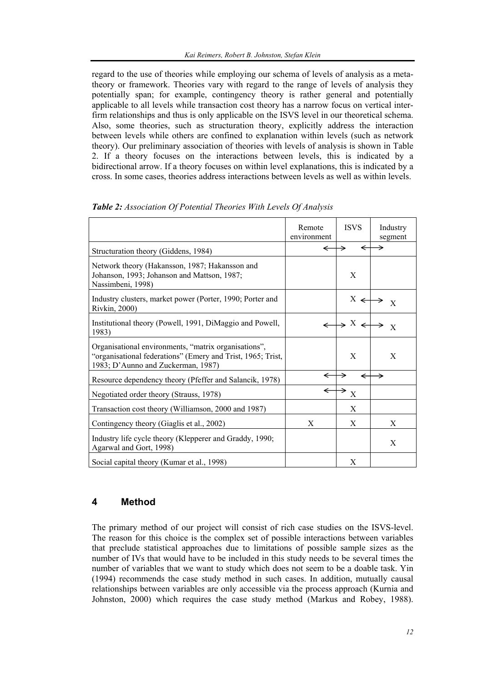regard to the use of theories while employing our schema of levels of analysis as a metatheory or framework. Theories vary with regard to the range of levels of analysis they potentially span; for example, contingency theory is rather general and potentially applicable to all levels while transaction cost theory has a narrow focus on vertical interfirm relationships and thus is only applicable on the ISVS level in our theoretical schema. Also, some theories, such as structuration theory, explicitly address the interaction between levels while others are confined to explanation within levels (such as network theory). Our preliminary association of theories with levels of analysis is shown in Table 2. If a theory focuses on the interactions between levels, this is indicated by a bidirectional arrow. If a theory focuses on within level explanations, this is indicated by a cross. In some cases, theories address interactions between levels as well as within levels.

|                                                                                                                                                           | Remote<br>environment | <b>ISVS</b>                  | Industry<br>segment |
|-----------------------------------------------------------------------------------------------------------------------------------------------------------|-----------------------|------------------------------|---------------------|
| Structuration theory (Giddens, 1984)                                                                                                                      | ←                     | ←                            |                     |
| Network theory (Hakansson, 1987; Hakansson and<br>Johanson, 1993; Johanson and Mattson, 1987;<br>Nassimbeni, 1998)                                        |                       | X                            |                     |
| Industry clusters, market power (Porter, 1990; Porter and<br>Rivkin, 2000)                                                                                |                       | $X \leftrightarrow$          | $\mathbf{X}$        |
| Institutional theory (Powell, 1991, DiMaggio and Powell,<br>1983)                                                                                         | $\leftarrow$          | $\rightarrow$ X $\leftarrow$ | →<br>$\mathbf{X}$   |
| Organisational environments, "matrix organisations",<br>"organisational federations" (Emery and Trist, 1965; Trist,<br>1983; D'Aunno and Zuckerman, 1987) |                       | X                            | X                   |
| Resource dependency theory (Pfeffer and Salancik, 1978)                                                                                                   | ←                     | →                            |                     |
| Negotiated order theory (Strauss, 1978)                                                                                                                   | ←                     | →<br>$\mathbf X$             |                     |
| Transaction cost theory (Williamson, 2000 and 1987)                                                                                                       |                       | X                            |                     |
| Contingency theory (Giaglis et al., 2002)                                                                                                                 | X                     | X                            | X                   |
| Industry life cycle theory (Klepperer and Graddy, 1990;<br>Agarwal and Gort, 1998)                                                                        |                       |                              | X                   |
| Social capital theory (Kumar et al., 1998)                                                                                                                |                       | X                            |                     |

| Table 2: Association Of Potential Theories With Levels Of Analysis |  |  |
|--------------------------------------------------------------------|--|--|
|                                                                    |  |  |

# **4 Method**

The primary method of our project will consist of rich case studies on the ISVS-level. The reason for this choice is the complex set of possible interactions between variables that preclude statistical approaches due to limitations of possible sample sizes as the number of IVs that would have to be included in this study needs to be several times the number of variables that we want to study which does not seem to be a doable task. Yin (1994) recommends the case study method in such cases. In addition, mutually causal relationships between variables are only accessible via the process approach (Kurnia and Johnston, 2000) which requires the case study method (Markus and Robey, 1988).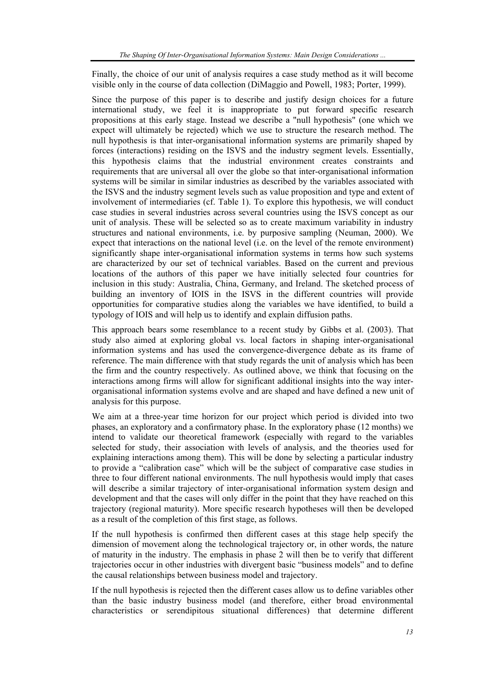Finally, the choice of our unit of analysis requires a case study method as it will become visible only in the course of data collection (DiMaggio and Powell, 1983; Porter, 1999).

Since the purpose of this paper is to describe and justify design choices for a future international study, we feel it is inappropriate to put forward specific research propositions at this early stage. Instead we describe a "null hypothesis" (one which we expect will ultimately be rejected) which we use to structure the research method. The null hypothesis is that inter-organisational information systems are primarily shaped by forces (interactions) residing on the ISVS and the industry segment levels. Essentially, this hypothesis claims that the industrial environment creates constraints and requirements that are universal all over the globe so that inter-organisational information systems will be similar in similar industries as described by the variables associated with the ISVS and the industry segment levels such as value proposition and type and extent of involvement of intermediaries (cf. Table 1). To explore this hypothesis, we will conduct case studies in several industries across several countries using the ISVS concept as our unit of analysis. These will be selected so as to create maximum variability in industry structures and national environments, i.e. by purposive sampling (Neuman, 2000). We expect that interactions on the national level (i.e. on the level of the remote environment) significantly shape inter-organisational information systems in terms how such systems are characterized by our set of technical variables. Based on the current and previous locations of the authors of this paper we have initially selected four countries for inclusion in this study: Australia, China, Germany, and Ireland. The sketched process of building an inventory of IOIS in the ISVS in the different countries will provide opportunities for comparative studies along the variables we have identified, to build a typology of IOIS and will help us to identify and explain diffusion paths.

This approach bears some resemblance to a recent study by Gibbs et al. (2003). That study also aimed at exploring global vs. local factors in shaping inter-organisational information systems and has used the convergence-divergence debate as its frame of reference. The main difference with that study regards the unit of analysis which has been the firm and the country respectively. As outlined above, we think that focusing on the interactions among firms will allow for significant additional insights into the way interorganisational information systems evolve and are shaped and have defined a new unit of analysis for this purpose.

We aim at a three-year time horizon for our project which period is divided into two phases, an exploratory and a confirmatory phase. In the exploratory phase (12 months) we intend to validate our theoretical framework (especially with regard to the variables selected for study, their association with levels of analysis, and the theories used for explaining interactions among them). This will be done by selecting a particular industry to provide a "calibration case" which will be the subject of comparative case studies in three to four different national environments. The null hypothesis would imply that cases will describe a similar trajectory of inter-organisational information system design and development and that the cases will only differ in the point that they have reached on this trajectory (regional maturity). More specific research hypotheses will then be developed as a result of the completion of this first stage, as follows.

If the null hypothesis is confirmed then different cases at this stage help specify the dimension of movement along the technological trajectory or, in other words, the nature of maturity in the industry. The emphasis in phase 2 will then be to verify that different trajectories occur in other industries with divergent basic "business models" and to define the causal relationships between business model and trajectory.

If the null hypothesis is rejected then the different cases allow us to define variables other than the basic industry business model (and therefore, either broad environmental characteristics or serendipitous situational differences) that determine different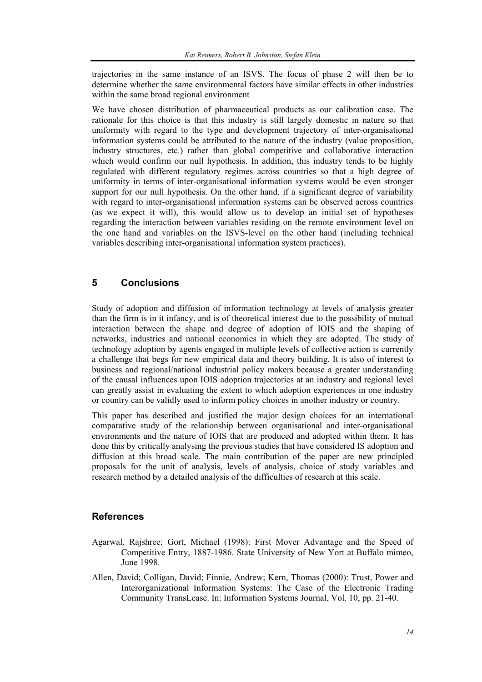trajectories in the same instance of an ISVS. The focus of phase 2 will then be to determine whether the same environmental factors have similar effects in other industries within the same broad regional environment

We have chosen distribution of pharmaceutical products as our calibration case. The rationale for this choice is that this industry is still largely domestic in nature so that uniformity with regard to the type and development trajectory of inter-organisational information systems could be attributed to the nature of the industry (value proposition, industry structures, etc.) rather than global competitive and collaborative interaction which would confirm our null hypothesis. In addition, this industry tends to be highly regulated with different regulatory regimes across countries so that a high degree of uniformity in terms of inter-organisational information systems would be even stronger support for our null hypothesis. On the other hand, if a significant degree of variability with regard to inter-organisational information systems can be observed across countries (as we expect it will), this would allow us to develop an initial set of hypotheses regarding the interaction between variables residing on the remote environment level on the one hand and variables on the ISVS-level on the other hand (including technical variables describing inter-organisational information system practices).

### **5 Conclusions**

Study of adoption and diffusion of information technology at levels of analysis greater than the firm is in it infancy, and is of theoretical interest due to the possibility of mutual interaction between the shape and degree of adoption of IOIS and the shaping of networks, industries and national economies in which they are adopted. The study of technology adoption by agents engaged in multiple levels of collective action is currently a challenge that begs for new empirical data and theory building. It is also of interest to business and regional/national industrial policy makers because a greater understanding of the causal influences upon IOIS adoption trajectories at an industry and regional level can greatly assist in evaluating the extent to which adoption experiences in one industry or country can be validly used to inform policy choices in another industry or country.

This paper has described and justified the major design choices for an international comparative study of the relationship between organisational and inter-organisational environments and the nature of IOIS that are produced and adopted within them. It has done this by critically analysing the previous studies that have considered IS adoption and diffusion at this broad scale. The main contribution of the paper are new principled proposals for the unit of analysis, levels of analysis, choice of study variables and research method by a detailed analysis of the difficulties of research at this scale.

#### **References**

- Agarwal, Rajshree; Gort, Michael (1998): First Mover Advantage and the Speed of Competitive Entry, 1887-1986. State University of New Yort at Buffalo mimeo, June 1998.
- Allen, David; Colligan, David; Finnie, Andrew; Kern, Thomas (2000): Trust, Power and Interorganizational Information Systems: The Case of the Electronic Trading Community TransLease. In: Information Systems Journal, Vol. 10, pp. 21-40.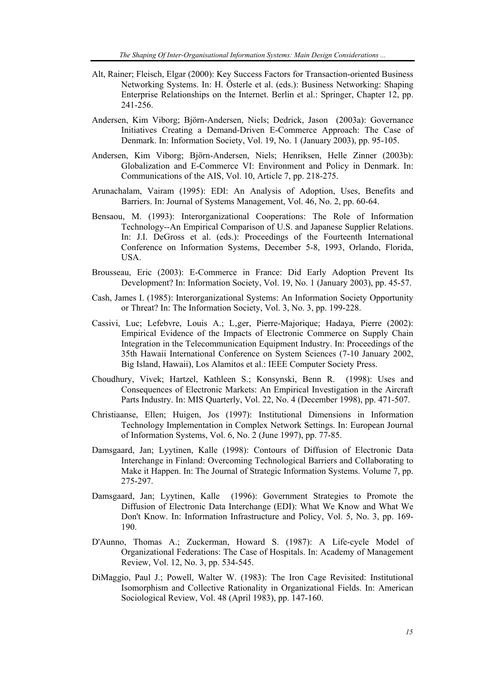- Alt, Rainer; Fleisch, Elgar (2000): Key Success Factors for Transaction-oriented Business Networking Systems. In: H. Österle et al. (eds.): Business Networking: Shaping Enterprise Relationships on the Internet. Berlin et al.: Springer, Chapter 12, pp. 241-256.
- Andersen, Kim Viborg; Björn-Andersen, Niels; Dedrick, Jason (2003a): Governance Initiatives Creating a Demand-Driven E-Commerce Approach: The Case of Denmark. In: Information Society, Vol. 19, No. 1 (January 2003), pp. 95-105.
- Andersen, Kim Viborg; Björn-Andersen, Niels; Henriksen, Helle Zinner (2003b): Globalization and E-Commerce VI: Environment and Policy in Denmark. In: Communications of the AIS, Vol. 10, Article 7, pp. 218-275.
- Arunachalam, Vairam (1995): EDI: An Analysis of Adoption, Uses, Benefits and Barriers. In: Journal of Systems Management, Vol. 46, No. 2, pp. 60-64.
- Bensaou, M. (1993): Interorganizational Cooperations: The Role of Information Technology--An Empirical Comparison of U.S. and Japanese Supplier Relations. In: J.I. DeGross et al. (eds.): Proceedings of the Fourteenth International Conference on Information Systems, December 5-8, 1993, Orlando, Florida, USA.
- Brousseau, Eric (2003): E-Commerce in France: Did Early Adoption Prevent Its Development? In: Information Society, Vol. 19, No. 1 (January 2003), pp. 45-57.
- Cash, James I. (1985): Interorganizational Systems: An Information Society Opportunity or Threat? In: The Information Society, Vol. 3, No. 3, pp. 199-228.
- Cassivi, Luc; Lefebvre, Louis A.; L'ger, Pierre-Majorique; Hadaya, Pierre (2002): Empirical Evidence of the Impacts of Electronic Commerce on Supply Chain Integration in the Telecommunication Equipment Industry. In: Proceedings of the 35th Hawaii International Conference on System Sciences (7-10 January 2002, Big Island, Hawaii), Los Alamitos et al.: IEEE Computer Society Press.
- Choudhury, Vivek; Hartzel, Kathleen S.; Konsynski, Benn R. (1998): Uses and Consequences of Electronic Markets: An Empirical Investigation in the Aircraft Parts Industry. In: MIS Quarterly, Vol. 22, No. 4 (December 1998), pp. 471-507.
- Christiaanse, Ellen; Huigen, Jos (1997): Institutional Dimensions in Information Technology Implementation in Complex Network Settings. In: European Journal of Information Systems, Vol. 6, No. 2 (June 1997), pp. 77-85.
- Damsgaard, Jan; Lyytinen, Kalle (1998): Contours of Diffusion of Electronic Data Interchange in Finland: Overcoming Technological Barriers and Collaborating to Make it Happen. In: The Journal of Strategic Information Systems. Volume 7, pp. 275-297.
- Damsgaard, Jan; Lyytinen, Kalle (1996): Government Strategies to Promote the Diffusion of Electronic Data Interchange (EDI): What We Know and What We Don't Know. In: Information Infrastructure and Policy, Vol. 5, No. 3, pp. 169- 190.
- D'Aunno, Thomas A.; Zuckerman, Howard S. (1987): A Life-cycle Model of Organizational Federations: The Case of Hospitals. In: Academy of Management Review, Vol. 12, No. 3, pp. 534-545.
- DiMaggio, Paul J.; Powell, Walter W. (1983): The Iron Cage Revisited: Institutional Isomorphism and Collective Rationality in Organizational Fields. In: American Sociological Review, Vol. 48 (April 1983), pp. 147-160.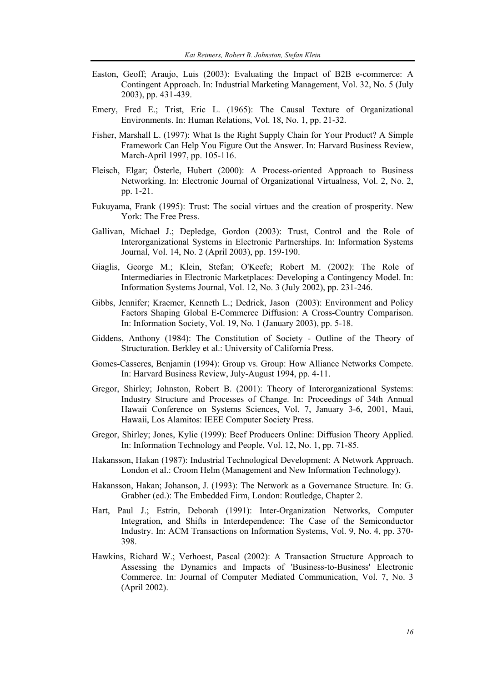- Easton, Geoff; Araujo, Luis (2003): Evaluating the Impact of B2B e-commerce: A Contingent Approach. In: Industrial Marketing Management, Vol. 32, No. 5 (July 2003), pp. 431-439.
- Emery, Fred E.; Trist, Eric L. (1965): The Causal Texture of Organizational Environments. In: Human Relations, Vol. 18, No. 1, pp. 21-32.
- Fisher, Marshall L. (1997): What Is the Right Supply Chain for Your Product? A Simple Framework Can Help You Figure Out the Answer. In: Harvard Business Review, March-April 1997, pp. 105-116.
- Fleisch, Elgar; Österle, Hubert (2000): A Process-oriented Approach to Business Networking. In: Electronic Journal of Organizational Virtualness, Vol. 2, No. 2, pp. 1-21.
- Fukuyama, Frank (1995): Trust: The social virtues and the creation of prosperity. New York: The Free Press.
- Gallivan, Michael J.; Depledge, Gordon (2003): Trust, Control and the Role of Interorganizational Systems in Electronic Partnerships. In: Information Systems Journal, Vol. 14, No. 2 (April 2003), pp. 159-190.
- Giaglis, George M.; Klein, Stefan; O'Keefe; Robert M. (2002): The Role of Intermediaries in Electronic Marketplaces: Developing a Contingency Model. In: Information Systems Journal, Vol. 12, No. 3 (July 2002), pp. 231-246.
- Gibbs, Jennifer; Kraemer, Kenneth L.; Dedrick, Jason (2003): Environment and Policy Factors Shaping Global E-Commerce Diffusion: A Cross-Country Comparison. In: Information Society, Vol. 19, No. 1 (January 2003), pp. 5-18.
- Giddens, Anthony (1984): The Constitution of Society Outline of the Theory of Structuration. Berkley et al.: University of California Press.
- Gomes-Casseres, Benjamin (1994): Group vs. Group: How Alliance Networks Compete. In: Harvard Business Review, July-August 1994, pp. 4-11.
- Gregor, Shirley; Johnston, Robert B. (2001): Theory of Interorganizational Systems: Industry Structure and Processes of Change. In: Proceedings of 34th Annual Hawaii Conference on Systems Sciences, Vol. 7, January 3-6, 2001, Maui, Hawaii, Los Alamitos: IEEE Computer Society Press.
- Gregor, Shirley; Jones, Kylie (1999): Beef Producers Online: Diffusion Theory Applied. In: Information Technology and People, Vol. 12, No. 1, pp. 71-85.
- Hakansson, Hakan (1987): Industrial Technological Development: A Network Approach. London et al.: Croom Helm (Management and New Information Technology).
- Hakansson, Hakan; Johanson, J. (1993): The Network as a Governance Structure. In: G. Grabher (ed.): The Embedded Firm, London: Routledge, Chapter 2.
- Hart, Paul J.; Estrin, Deborah (1991): Inter-Organization Networks, Computer Integration, and Shifts in Interdependence: The Case of the Semiconductor Industry. In: ACM Transactions on Information Systems, Vol. 9, No. 4, pp. 370- 398.
- Hawkins, Richard W.; Verhoest, Pascal (2002): A Transaction Structure Approach to Assessing the Dynamics and Impacts of 'Business-to-Business' Electronic Commerce. In: Journal of Computer Mediated Communication, Vol. 7, No. 3 (April 2002).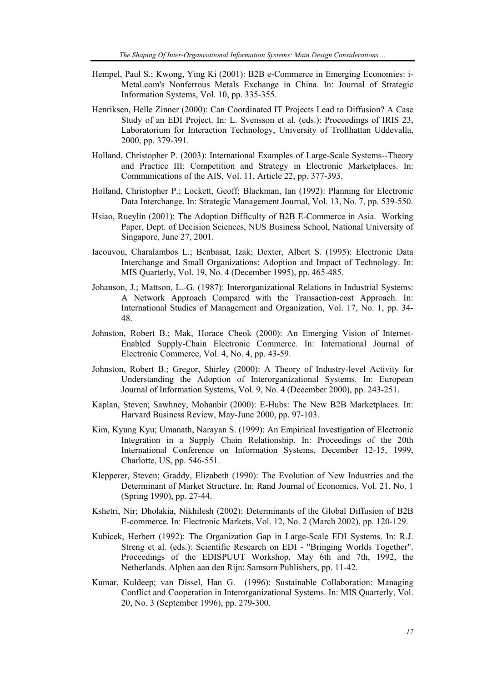- Hempel, Paul S.; Kwong, Ying Ki (2001): B2B e-Commerce in Emerging Economies: i-Metal.com's Nonferrous Metals Exchange in China. In: Journal of Strategic Information Systems, Vol. 10, pp. 335-355.
- Henriksen, Helle Zinner (2000): Can Coordinated IT Projects Lead to Diffusion? A Case Study of an EDI Project. In: L. Svensson et al. (eds.): Proceedings of IRIS 23, Laboratorium for Interaction Technology, University of Trollhattan Uddevalla, 2000, pp. 379-391.
- Holland, Christopher P. (2003): International Examples of Large-Scale Systems--Theory and Practice III: Competition and Strategy in Electronic Marketplaces. In: Communications of the AIS, Vol. 11, Article 22, pp. 377-393.
- Holland, Christopher P.; Lockett, Geoff; Blackman, Ian (1992): Planning for Electronic Data Interchange. In: Strategic Management Journal, Vol. 13, No. 7, pp. 539-550.
- Hsiao, Rueylin (2001): The Adoption Difficulty of B2B E-Commerce in Asia. Working Paper, Dept. of Decision Sciences, NUS Business School, National University of Singapore, June 27, 2001.
- Iacouvou, Charalambos L.; Benbasat, Izak; Dexter, Albert S. (1995): Electronic Data Interchange and Small Organizations: Adoption and Impact of Technology. In: MIS Quarterly, Vol. 19, No. 4 (December 1995), pp. 465-485.
- Johanson, J.; Mattson, L.-G. (1987): Interorganizational Relations in Industrial Systems: A Network Approach Compared with the Transaction-cost Approach. In: International Studies of Management and Organization, Vol. 17, No. 1, pp. 34- 48.
- Johnston, Robert B.; Mak, Horace Cheok (2000): An Emerging Vision of Internet-Enabled Supply-Chain Electronic Commerce. In: International Journal of Electronic Commerce, Vol. 4, No. 4, pp. 43-59.
- Johnston, Robert B.; Gregor, Shirley (2000): A Theory of Industry-level Activity for Understanding the Adoption of Interorganizational Systems. In: European Journal of Information Systems, Vol. 9, No. 4 (December 2000), pp. 243-251.
- Kaplan, Steven; Sawhney, Mohanbir (2000): E-Hubs: The New B2B Marketplaces. In: Harvard Business Review, May-June 2000, pp. 97-103.
- Kim, Kyung Kyu; Umanath, Narayan S. (1999): An Empirical Investigation of Electronic Integration in a Supply Chain Relationship. In: Proceedings of the 20th International Conference on Information Systems, December 12-15, 1999, Charlotte, US, pp. 546-551.
- Klepperer, Steven; Graddy, Elizabeth (1990): The Evolution of New Industries and the Determinant of Market Structure. In: Rand Journal of Economics, Vol. 21, No. 1 (Spring 1990), pp. 27-44.
- Kshetri, Nir; Dholakia, Nikhilesh (2002): Determinants of the Global Diffusion of B2B E-commerce. In: Electronic Markets, Vol. 12, No. 2 (March 2002), pp. 120-129.
- Kubicek, Herbert (1992): The Organization Gap in Large-Scale EDI Systems. In: R.J. Streng et al. (eds.): Scientific Research on EDI - "Bringing Worlds Together". Proceedings of the EDISPUUT Workshop, May 6th and 7th, 1992, the Netherlands. Alphen aan den Rijn: Samsom Publishers, pp. 11-42.
- Kumar, Kuldeep; van Dissel, Han G. (1996): Sustainable Collaboration: Managing Conflict and Cooperation in Interorganizational Systems. In: MIS Quarterly, Vol. 20, No. 3 (September 1996), pp. 279-300.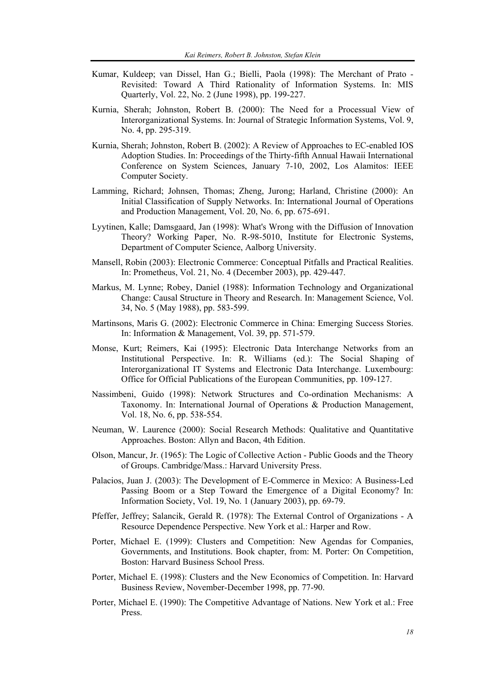- Kumar, Kuldeep; van Dissel, Han G.; Bielli, Paola (1998): The Merchant of Prato Revisited: Toward A Third Rationality of Information Systems. In: MIS Quarterly, Vol. 22, No. 2 (June 1998), pp. 199-227.
- Kurnia, Sherah; Johnston, Robert B. (2000): The Need for a Processual View of Interorganizational Systems. In: Journal of Strategic Information Systems, Vol. 9, No. 4, pp. 295-319.
- Kurnia, Sherah; Johnston, Robert B. (2002): A Review of Approaches to EC-enabled IOS Adoption Studies. In: Proceedings of the Thirty-fifth Annual Hawaii International Conference on System Sciences, January 7-10, 2002, Los Alamitos: IEEE Computer Society.
- Lamming, Richard; Johnsen, Thomas; Zheng, Jurong; Harland, Christine (2000): An Initial Classification of Supply Networks. In: International Journal of Operations and Production Management, Vol. 20, No. 6, pp. 675-691.
- Lyytinen, Kalle; Damsgaard, Jan (1998): What's Wrong with the Diffusion of Innovation Theory? Working Paper, No. R-98-5010, Institute for Electronic Systems, Department of Computer Science, Aalborg University.
- Mansell, Robin (2003): Electronic Commerce: Conceptual Pitfalls and Practical Realities. In: Prometheus, Vol. 21, No. 4 (December 2003), pp. 429-447.
- Markus, M. Lynne; Robey, Daniel (1988): Information Technology and Organizational Change: Causal Structure in Theory and Research. In: Management Science, Vol. 34, No. 5 (May 1988), pp. 583-599.
- Martinsons, Maris G. (2002): Electronic Commerce in China: Emerging Success Stories. In: Information & Management, Vol. 39, pp. 571-579.
- Monse, Kurt; Reimers, Kai (1995): Electronic Data Interchange Networks from an Institutional Perspective. In: R. Williams (ed.): The Social Shaping of Interorganizational IT Systems and Electronic Data Interchange. Luxembourg: Office for Official Publications of the European Communities, pp. 109-127.
- Nassimbeni, Guido (1998): Network Structures and Co-ordination Mechanisms: A Taxonomy. In: International Journal of Operations & Production Management, Vol. 18, No. 6, pp. 538-554.
- Neuman, W. Laurence (2000): Social Research Methods: Qualitative and Quantitative Approaches. Boston: Allyn and Bacon, 4th Edition.
- Olson, Mancur, Jr. (1965): The Logic of Collective Action Public Goods and the Theory of Groups. Cambridge/Mass.: Harvard University Press.
- Palacios, Juan J. (2003): The Development of E-Commerce in Mexico: A Business-Led Passing Boom or a Step Toward the Emergence of a Digital Economy? In: Information Society, Vol. 19, No. 1 (January 2003), pp. 69-79.
- Pfeffer, Jeffrey; Salancik, Gerald R. (1978): The External Control of Organizations A Resource Dependence Perspective. New York et al.: Harper and Row.
- Porter, Michael E. (1999): Clusters and Competition: New Agendas for Companies, Governments, and Institutions. Book chapter, from: M. Porter: On Competition, Boston: Harvard Business School Press.
- Porter, Michael E. (1998): Clusters and the New Economics of Competition. In: Harvard Business Review, November-December 1998, pp. 77-90.
- Porter, Michael E. (1990): The Competitive Advantage of Nations. New York et al.: Free Press.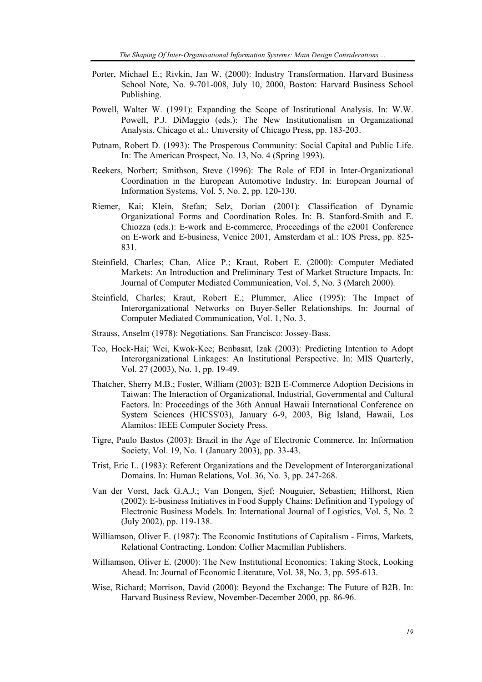- Porter, Michael E.; Rivkin, Jan W. (2000): Industry Transformation. Harvard Business School Note, No. 9-701-008, July 10, 2000, Boston: Harvard Business School Publishing.
- Powell, Walter W. (1991): Expanding the Scope of Institutional Analysis. In: W.W. Powell, P.J. DiMaggio (eds.): The New Institutionalism in Organizational Analysis. Chicago et al.: University of Chicago Press, pp. 183-203.
- Putnam, Robert D. (1993): The Prosperous Community: Social Capital and Public Life. In: The American Prospect, No. 13, No. 4 (Spring 1993).
- Reekers, Norbert; Smithson, Steve (1996): The Role of EDI in Inter-Organizational Coordination in the European Automotive Industry. In: European Journal of Information Systems, Vol. 5, No. 2, pp. 120-130.
- Riemer, Kai; Klein, Stefan; Selz, Dorian (2001): Classification of Dynamic Organizational Forms and Coordination Roles. In: B. Stanford-Smith and E. Chiozza (eds.): E-work and E-commerce, Proceedings of the e2001 Conference on E-work and E-business, Venice 2001, Amsterdam et al.: IOS Press, pp. 825- 831.
- Steinfield, Charles; Chan, Alice P.; Kraut, Robert E. (2000): Computer Mediated Markets: An Introduction and Preliminary Test of Market Structure Impacts. In: Journal of Computer Mediated Communication, Vol. 5, No. 3 (March 2000).
- Steinfield, Charles; Kraut, Robert E.; Plummer, Alice (1995): The Impact of Interorganizational Networks on Buyer-Seller Relationships. In: Journal of Computer Mediated Communication, Vol. 1, No. 3.
- Strauss, Anselm (1978): Negotiations. San Francisco: Jossey-Bass.
- Teo, Hock-Hai; Wei, Kwok-Kee; Benbasat, Izak (2003): Predicting Intention to Adopt Interorganizational Linkages: An Institutional Perspective. In: MIS Quarterly, Vol. 27 (2003), No. 1, pp. 19-49.
- Thatcher, Sherry M.B.; Foster, William (2003): B2B E-Commerce Adoption Decisions in Taiwan: The Interaction of Organizational, Industrial, Governmental and Cultural Factors. In: Proceedings of the 36th Annual Hawaii International Conference on System Sciences (HICSS'03), January 6-9, 2003, Big Island, Hawaii, Los Alamitos: IEEE Computer Society Press.
- Tigre, Paulo Bastos (2003): Brazil in the Age of Electronic Commerce. In: Information Society, Vol. 19, No. 1 (January 2003), pp. 33-43.
- Trist, Eric L. (1983): Referent Organizations and the Development of Interorganizational Domains. In: Human Relations, Vol. 36, No. 3, pp. 247-268.
- Van der Vorst, Jack G.A.J.; Van Dongen, Sjef; Nouguier, Sebastien; Hilhorst, Rien (2002): E-business Initiatives in Food Supply Chains: Definition and Typology of Electronic Business Models. In: International Journal of Logistics, Vol. 5, No. 2 (July 2002), pp. 119-138.
- Williamson, Oliver E. (1987): The Economic Institutions of Capitalism Firms, Markets, Relational Contracting. London: Collier Macmillan Publishers.
- Williamson, Oliver E. (2000): The New Institutional Economics: Taking Stock, Looking Ahead. In: Journal of Economic Literature, Vol. 38, No. 3, pp. 595-613.
- Wise, Richard; Morrison, David (2000): Beyond the Exchange: The Future of B2B. In: Harvard Business Review, November-December 2000, pp. 86-96.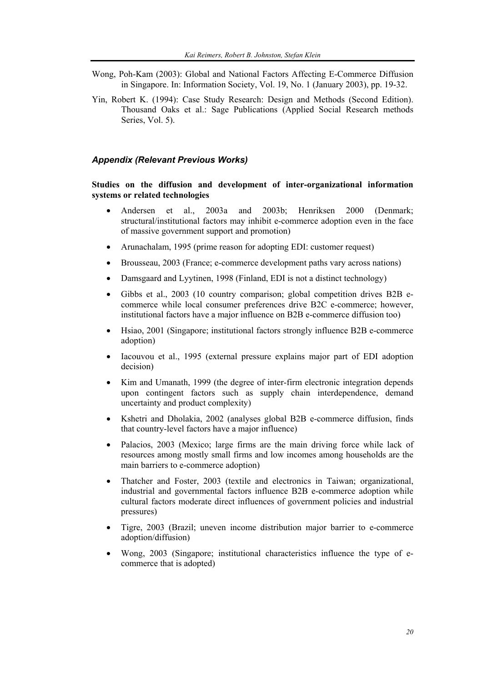- Wong, Poh-Kam (2003): Global and National Factors Affecting E-Commerce Diffusion in Singapore. In: Information Society, Vol. 19, No. 1 (January 2003), pp. 19-32.
- Yin, Robert K. (1994): Case Study Research: Design and Methods (Second Edition). Thousand Oaks et al.: Sage Publications (Applied Social Research methods Series, Vol. 5).

#### *Appendix (Relevant Previous Works)*

#### **Studies on the diffusion and development of inter-organizational information systems or related technologies**

- Andersen et al., 2003a and 2003b; Henriksen 2000 (Denmark; structural/institutional factors may inhibit e-commerce adoption even in the face of massive government support and promotion)
- Arunachalam, 1995 (prime reason for adopting EDI: customer request)
- Brousseau, 2003 (France; e-commerce development paths vary across nations)
- Damsgaard and Lyytinen, 1998 (Finland, EDI is not a distinct technology)
- Gibbs et al., 2003 (10 country comparison; global competition drives B2B ecommerce while local consumer preferences drive B2C e-commerce; however, institutional factors have a major influence on B2B e-commerce diffusion too)
- Hsiao, 2001 (Singapore; institutional factors strongly influence B2B e-commerce adoption)
- Iacouvou et al., 1995 (external pressure explains major part of EDI adoption decision)
- Kim and Umanath, 1999 (the degree of inter-firm electronic integration depends upon contingent factors such as supply chain interdependence, demand uncertainty and product complexity)
- Kshetri and Dholakia, 2002 (analyses global B2B e-commerce diffusion, finds that country-level factors have a major influence)
- Palacios, 2003 (Mexico; large firms are the main driving force while lack of resources among mostly small firms and low incomes among households are the main barriers to e-commerce adoption)
- Thatcher and Foster, 2003 (textile and electronics in Taiwan; organizational, industrial and governmental factors influence B2B e-commerce adoption while cultural factors moderate direct influences of government policies and industrial pressures)
- Tigre, 2003 (Brazil; uneven income distribution major barrier to e-commerce adoption/diffusion)
- Wong, 2003 (Singapore; institutional characteristics influence the type of ecommerce that is adopted)